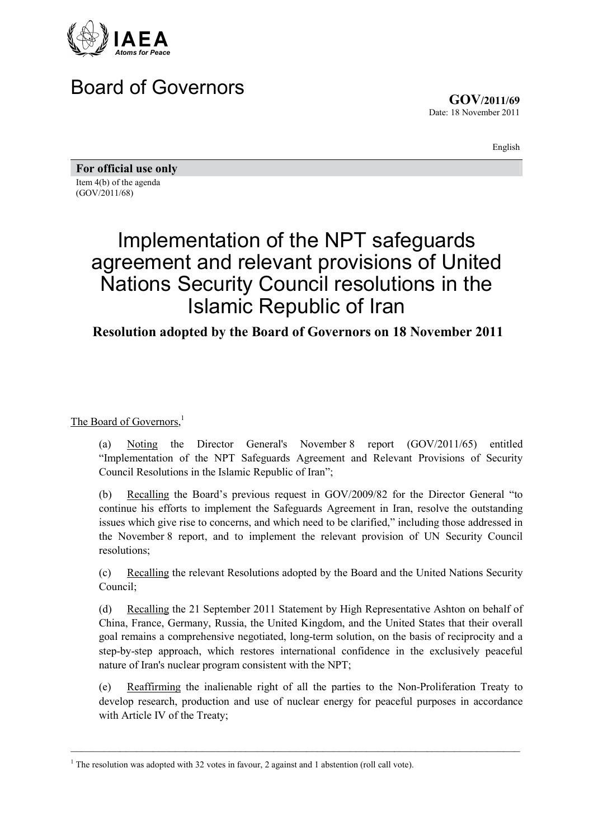

## Board of Governors

**GOV/2011/69** Date: 18 November 2011

English

**For official use only**  Item 4(b) of the agenda (GOV/2011/68)

## Implementation of the NPT safeguards agreement and relevant provisions of United Nations Security Council resolutions in the Islamic Republic of Iran

## **Resolution adopted by the Board of Governors on 18 November 2011**

The Board of Governors,<sup>1</sup>

(a) Noting the Director General's November 8 report (GOV/2011/65) entitled "Implementation of the NPT Safeguards Agreement and Relevant Provisions of Security Council Resolutions in the Islamic Republic of Iran";

(b) Recalling the Board's previous request in GOV/2009/82 for the Director General "to continue his efforts to implement the Safeguards Agreement in Iran, resolve the outstanding issues which give rise to concerns, and which need to be clarified," including those addressed in the November 8 report, and to implement the relevant provision of UN Security Council resolutions;

(c) Recalling the relevant Resolutions adopted by the Board and the United Nations Security Council;

(d) Recalling the 21 September 2011 Statement by High Representative Ashton on behalf of China, France, Germany, Russia, the United Kingdom, and the United States that their overall goal remains a comprehensive negotiated, long-term solution, on the basis of reciprocity and a step-by-step approach, which restores international confidence in the exclusively peaceful nature of Iran's nuclear program consistent with the NPT;

(e) Reaffirming the inalienable right of all the parties to the Non-Proliferation Treaty to develop research, production and use of nuclear energy for peaceful purposes in accordance with Article IV of the Treaty;

\_\_\_\_\_\_\_\_\_\_\_\_\_\_\_\_\_\_\_\_\_\_\_\_\_\_\_\_\_\_\_\_\_\_\_\_\_\_\_\_\_\_\_\_\_\_\_\_\_\_\_\_\_\_\_\_\_\_\_\_\_\_\_\_\_\_\_\_\_\_\_\_\_\_\_\_\_\_\_\_\_\_

<sup>&</sup>lt;sup>1</sup> The resolution was adopted with 32 votes in favour, 2 against and 1 abstention (roll call vote).